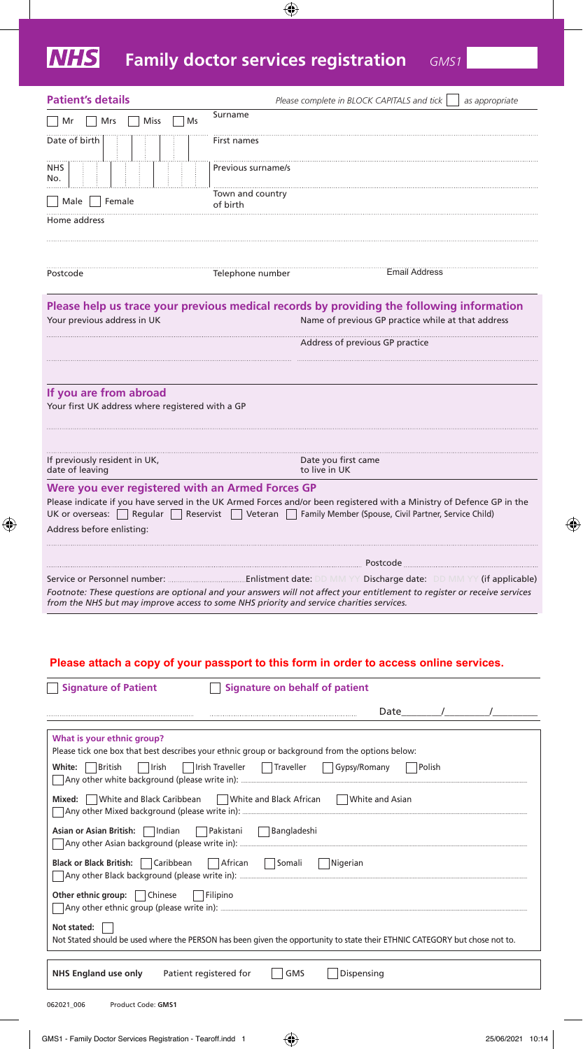## **NHS Family doctor services registration** *GMS1*

 $\bigoplus$ 

| <b>Patient's details</b>                                                      | Please complete in BLOCK CAPITALS and tick                                                                                                                                                                              | as appropriate                                                                                                                                                                                             |
|-------------------------------------------------------------------------------|-------------------------------------------------------------------------------------------------------------------------------------------------------------------------------------------------------------------------|------------------------------------------------------------------------------------------------------------------------------------------------------------------------------------------------------------|
| Mr<br>Mrs<br><b>Miss</b><br>Ms                                                | Surname                                                                                                                                                                                                                 |                                                                                                                                                                                                            |
| Date of birth                                                                 | First names                                                                                                                                                                                                             |                                                                                                                                                                                                            |
| <b>NHS</b><br>No.                                                             | Previous surname/s                                                                                                                                                                                                      |                                                                                                                                                                                                            |
| Male   Female                                                                 | Town and country<br>of birth                                                                                                                                                                                            |                                                                                                                                                                                                            |
| Home address                                                                  |                                                                                                                                                                                                                         |                                                                                                                                                                                                            |
|                                                                               |                                                                                                                                                                                                                         |                                                                                                                                                                                                            |
| Postcode                                                                      | Telephone number                                                                                                                                                                                                        |                                                                                                                                                                                                            |
| Your previous address in UK                                                   |                                                                                                                                                                                                                         | <b>Email Address</b><br>Please help us trace your previous medical records by providing the following information<br>Name of previous GP practice while at that address<br>Address of previous GP practice |
|                                                                               |                                                                                                                                                                                                                         |                                                                                                                                                                                                            |
|                                                                               |                                                                                                                                                                                                                         |                                                                                                                                                                                                            |
| If you are from abroad<br>Your first UK address where registered with a GP    |                                                                                                                                                                                                                         |                                                                                                                                                                                                            |
|                                                                               |                                                                                                                                                                                                                         |                                                                                                                                                                                                            |
| If previously resident in UK,<br>date of leaving                              | Date you first came<br>to live in UK                                                                                                                                                                                    |                                                                                                                                                                                                            |
| Were you ever registered with an Armed Forces GP<br>Address before enlisting: | Please indicate if you have served in the UK Armed Forces and/or been registered with a Ministry of Defence GP in the<br>UK or overseas: Regular Reservist Veteran Family Member (Spouse, Civil Partner, Service Child) |                                                                                                                                                                                                            |
|                                                                               |                                                                                                                                                                                                                         |                                                                                                                                                                                                            |
|                                                                               |                                                                                                                                                                                                                         |                                                                                                                                                                                                            |
|                                                                               | Footnote: These questions are optional and your answers will not affect your entitlement to register or receive services<br>from the NHS but may improve access to some NHS priority and service charities services.    |                                                                                                                                                                                                            |
|                                                                               |                                                                                                                                                                                                                         |                                                                                                                                                                                                            |

## $\overline{P}$ **Please attach a copy of your passport to this form in order to access online services.**

 $\bigoplus$ 

| <b>Signature of Patient</b><br>Signature on behalf of patient                                                                                                                                                          |
|------------------------------------------------------------------------------------------------------------------------------------------------------------------------------------------------------------------------|
| Date /                                                                                                                                                                                                                 |
| What is your ethnic group?<br>Please tick one box that best describes your ethnic group or background from the options below:<br>Trish Traveller   Traveller   Gypsy/Romany   Polish<br>White:<br>  British<br>  Irish |
| Mixed: White and Black Caribbean White and Black African White and Asian                                                                                                                                               |
| Asian or Asian British:     Indian         Pakistani         Bangladeshi                                                                                                                                               |
| Black or Black British: Caribbean African Somali Nigerian                                                                                                                                                              |
| Other ethnic group:     Chinese<br>Filipino                                                                                                                                                                            |
| Not stated:<br>Not Stated should be used where the PERSON has been given the opportunity to state their ETHNIC CATEGORY but chose not to.                                                                              |
| Dispensing<br>NHS England use only Patient registered for<br><b>GMS</b>                                                                                                                                                |
| Product Code: GMS1<br>062021 006                                                                                                                                                                                       |
| GMS1 - Family Doctor Services Registration - Tearoff.indd 1<br>25/06/2021 10:                                                                                                                                          |

 $\bigoplus$